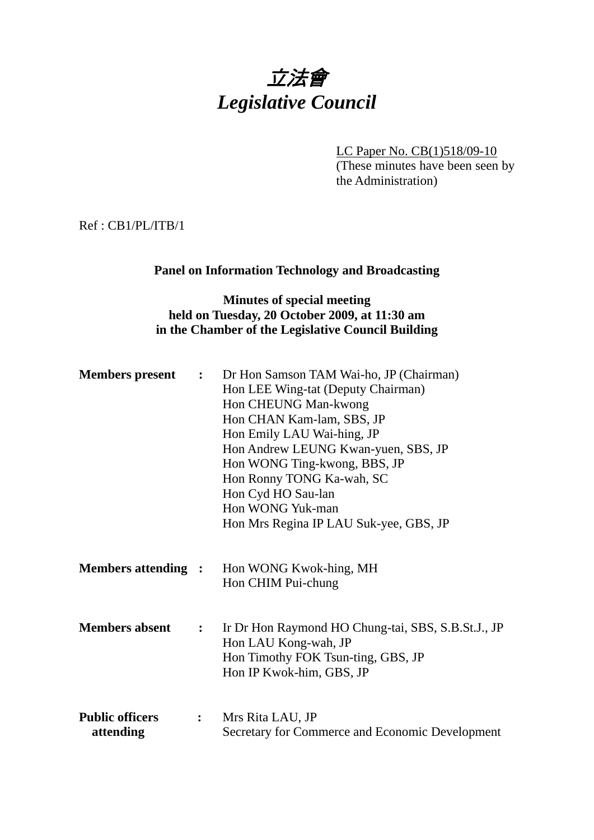# 立法會 *Legislative Council*

LC Paper No. CB(1)518/09-10 (These minutes have been seen by the Administration)

Ref : CB1/PL/ITB/1

## **Panel on Information Technology and Broadcasting**

## **Minutes of special meeting held on Tuesday, 20 October 2009, at 11:30 am in the Chamber of the Legislative Council Building**

| <b>Members</b> present              | $\ddot{\cdot}$               | Dr Hon Samson TAM Wai-ho, JP (Chairman)<br>Hon LEE Wing-tat (Deputy Chairman)<br>Hon CHEUNG Man-kwong<br>Hon CHAN Kam-lam, SBS, JP<br>Hon Emily LAU Wai-hing, JP<br>Hon Andrew LEUNG Kwan-yuen, SBS, JP<br>Hon WONG Ting-kwong, BBS, JP<br>Hon Ronny TONG Ka-wah, SC<br>Hon Cyd HO Sau-lan<br>Hon WONG Yuk-man |
|-------------------------------------|------------------------------|----------------------------------------------------------------------------------------------------------------------------------------------------------------------------------------------------------------------------------------------------------------------------------------------------------------|
|                                     |                              | Hon Mrs Regina IP LAU Suk-yee, GBS, JP                                                                                                                                                                                                                                                                         |
| <b>Members attending :</b>          |                              | Hon WONG Kwok-hing, MH<br>Hon CHIM Pui-chung                                                                                                                                                                                                                                                                   |
| <b>Members absent</b>               | $\ddot{\cdot}$               | Ir Dr Hon Raymond HO Chung-tai, SBS, S.B.St.J., JP<br>Hon LAU Kong-wah, JP<br>Hon Timothy FOK Tsun-ting, GBS, JP<br>Hon IP Kwok-him, GBS, JP                                                                                                                                                                   |
| <b>Public officers</b><br>attending | $\overset{\bullet}{\bullet}$ | Mrs Rita LAU, JP<br>Secretary for Commerce and Economic Development                                                                                                                                                                                                                                            |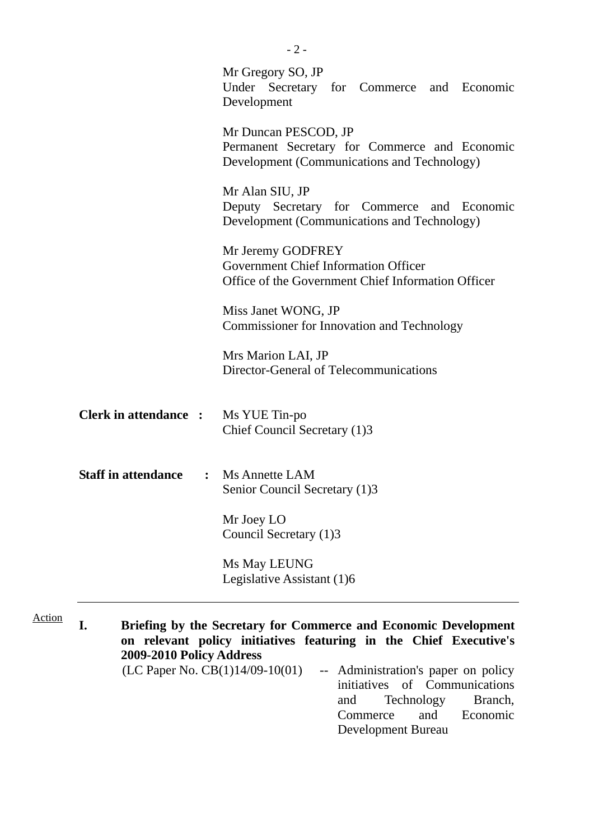|                                              | Mr Gregory SO, JP<br>Under Secretary for Commerce and Economic<br>Development                                          |
|----------------------------------------------|------------------------------------------------------------------------------------------------------------------------|
|                                              | Mr Duncan PESCOD, JP<br>Permanent Secretary for Commerce and Economic<br>Development (Communications and Technology)   |
|                                              | Mr Alan SIU, JP<br>Deputy Secretary for Commerce and Economic<br>Development (Communications and Technology)           |
|                                              | Mr Jeremy GODFREY<br><b>Government Chief Information Officer</b><br>Office of the Government Chief Information Officer |
|                                              | Miss Janet WONG, JP<br><b>Commissioner for Innovation and Technology</b>                                               |
|                                              | Mrs Marion LAI, JP<br>Director-General of Telecommunications                                                           |
| <b>Clerk in attendance :</b>                 | Ms YUE Tin-po<br>Chief Council Secretary (1)3                                                                          |
| <b>Staff in attendance</b><br>$\ddot{\cdot}$ | <b>Ms Annette LAM</b><br>Senior Council Secretary (1)3                                                                 |
|                                              | Mr Joey LO<br>Council Secretary (1)3                                                                                   |
|                                              | Ms May LEUNG<br>Legislative Assistant (1)6                                                                             |

initiatives of Communications and Technology Branch, Commerce and Economic Development Bureau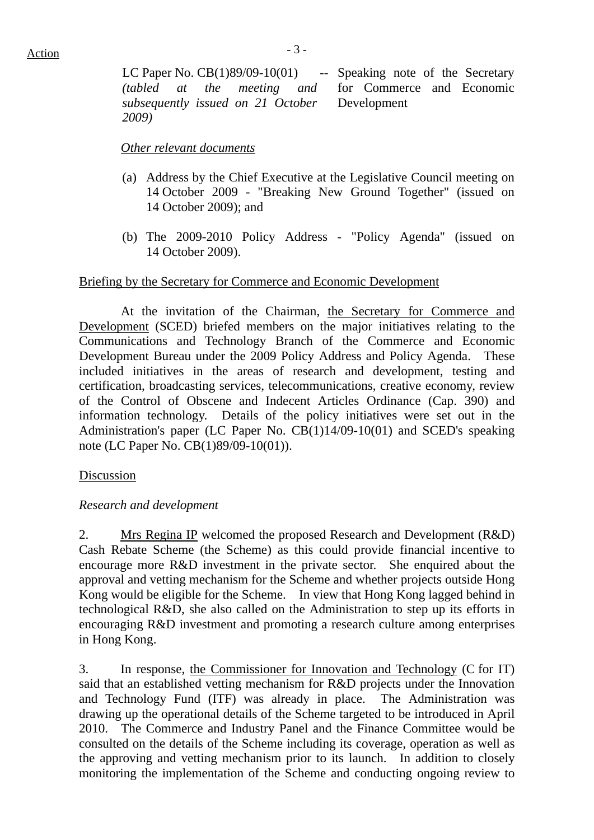LC Paper No. CB(1)89/09-10(01) -- Speaking note of the Secretary *(tabled at the meeting and subsequently issued on 21 October 2009)*  for Commerce and Economic Development

#### *Other relevant documents*

- (a) Address by the Chief Executive at the Legislative Council meeting on 14 October 2009 - "Breaking New Ground Together" (issued on 14 October 2009); and
- (b) The 2009-2010 Policy Address "Policy Agenda" (issued on 14 October 2009).

#### Briefing by the Secretary for Commerce and Economic Development

 At the invitation of the Chairman, the Secretary for Commerce and Development (SCED) briefed members on the major initiatives relating to the Communications and Technology Branch of the Commerce and Economic Development Bureau under the 2009 Policy Address and Policy Agenda. These included initiatives in the areas of research and development, testing and certification, broadcasting services, telecommunications, creative economy, review of the Control of Obscene and Indecent Articles Ordinance (Cap. 390) and information technology. Details of the policy initiatives were set out in the Administration's paper (LC Paper No. CB(1)14/09-10(01) and SCED's speaking note (LC Paper No. CB(1)89/09-10(01)).

#### Discussion

#### *Research and development*

2. Mrs Regina IP welcomed the proposed Research and Development (R&D) Cash Rebate Scheme (the Scheme) as this could provide financial incentive to encourage more R&D investment in the private sector. She enquired about the approval and vetting mechanism for the Scheme and whether projects outside Hong Kong would be eligible for the Scheme. In view that Hong Kong lagged behind in technological R&D, she also called on the Administration to step up its efforts in encouraging R&D investment and promoting a research culture among enterprises in Hong Kong.

3. In response, the Commissioner for Innovation and Technology (C for IT) said that an established vetting mechanism for R&D projects under the Innovation and Technology Fund (ITF) was already in place. The Administration was drawing up the operational details of the Scheme targeted to be introduced in April 2010. The Commerce and Industry Panel and the Finance Committee would be consulted on the details of the Scheme including its coverage, operation as well as the approving and vetting mechanism prior to its launch. In addition to closely monitoring the implementation of the Scheme and conducting ongoing review to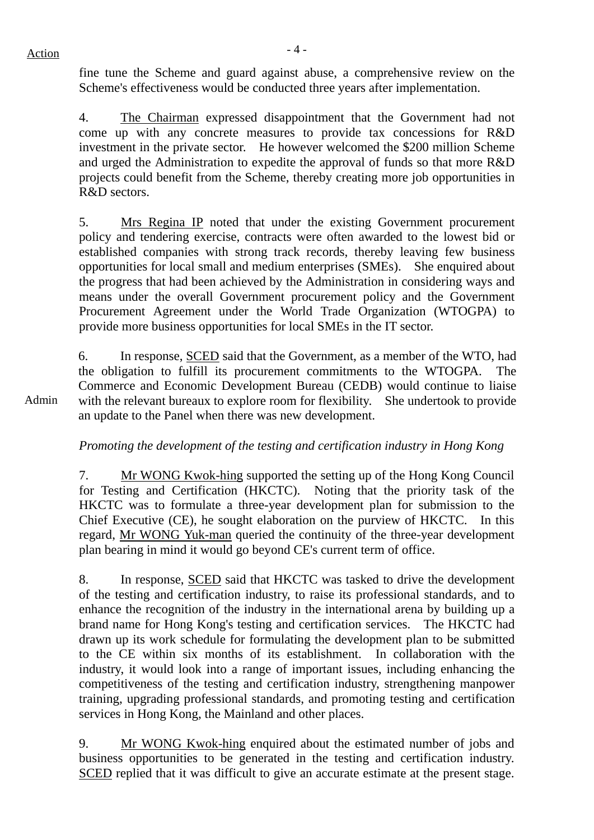fine tune the Scheme and guard against abuse, a comprehensive review on the Scheme's effectiveness would be conducted three years after implementation.

4. The Chairman expressed disappointment that the Government had not come up with any concrete measures to provide tax concessions for R&D investment in the private sector. He however welcomed the \$200 million Scheme and urged the Administration to expedite the approval of funds so that more R&D projects could benefit from the Scheme, thereby creating more job opportunities in R&D sectors.

5. Mrs Regina IP noted that under the existing Government procurement policy and tendering exercise, contracts were often awarded to the lowest bid or established companies with strong track records, thereby leaving few business opportunities for local small and medium enterprises (SMEs). She enquired about the progress that had been achieved by the Administration in considering ways and means under the overall Government procurement policy and the Government Procurement Agreement under the World Trade Organization (WTOGPA) to provide more business opportunities for local SMEs in the IT sector.

6. In response, SCED said that the Government, as a member of the WTO, had the obligation to fulfill its procurement commitments to the WTOGPA. The Commerce and Economic Development Bureau (CEDB) would continue to liaise with the relevant bureaux to explore room for flexibility. She undertook to provide an update to the Panel when there was new development.

*Promoting the development of the testing and certification industry in Hong Kong* 

7. Mr WONG Kwok-hing supported the setting up of the Hong Kong Council for Testing and Certification (HKCTC). Noting that the priority task of the HKCTC was to formulate a three-year development plan for submission to the Chief Executive (CE), he sought elaboration on the purview of HKCTC. In this regard, Mr WONG Yuk-man queried the continuity of the three-year development plan bearing in mind it would go beyond CE's current term of office.

8. In response, SCED said that HKCTC was tasked to drive the development of the testing and certification industry, to raise its professional standards, and to enhance the recognition of the industry in the international arena by building up a brand name for Hong Kong's testing and certification services. The HKCTC had drawn up its work schedule for formulating the development plan to be submitted to the CE within six months of its establishment. In collaboration with the industry, it would look into a range of important issues, including enhancing the competitiveness of the testing and certification industry, strengthening manpower training, upgrading professional standards, and promoting testing and certification services in Hong Kong, the Mainland and other places.

9. Mr WONG Kwok-hing enquired about the estimated number of jobs and business opportunities to be generated in the testing and certification industry. SCED replied that it was difficult to give an accurate estimate at the present stage.

Admin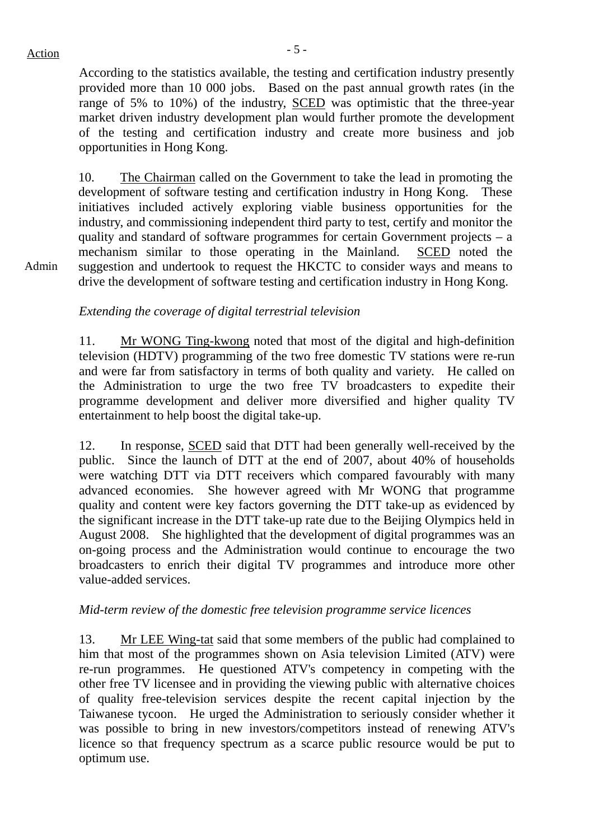$Action$ 

Admin

According to the statistics available, the testing and certification industry presently provided more than 10 000 jobs. Based on the past annual growth rates (in the range of 5% to 10%) of the industry, SCED was optimistic that the three-year market driven industry development plan would further promote the development of the testing and certification industry and create more business and job opportunities in Hong Kong.

10. The Chairman called on the Government to take the lead in promoting the development of software testing and certification industry in Hong Kong. These initiatives included actively exploring viable business opportunities for the industry, and commissioning independent third party to test, certify and monitor the quality and standard of software programmes for certain Government projects – a mechanism similar to those operating in the Mainland. SCED noted the suggestion and undertook to request the HKCTC to consider ways and means to drive the development of software testing and certification industry in Hong Kong.

*Extending the coverage of digital terrestrial television*

11. Mr WONG Ting-kwong noted that most of the digital and high-definition television (HDTV) programming of the two free domestic TV stations were re-run and were far from satisfactory in terms of both quality and variety. He called on the Administration to urge the two free TV broadcasters to expedite their programme development and deliver more diversified and higher quality TV entertainment to help boost the digital take-up.

12. In response, SCED said that DTT had been generally well-received by the public. Since the launch of DTT at the end of 2007, about 40% of households were watching DTT via DTT receivers which compared favourably with many advanced economies. She however agreed with Mr WONG that programme quality and content were key factors governing the DTT take-up as evidenced by the significant increase in the DTT take-up rate due to the Beijing Olympics held in August 2008. She highlighted that the development of digital programmes was an on-going process and the Administration would continue to encourage the two broadcasters to enrich their digital TV programmes and introduce more other value-added services.

## *Mid-term review of the domestic free television programme service licences*

13. Mr LEE Wing-tat said that some members of the public had complained to him that most of the programmes shown on Asia television Limited (ATV) were re-run programmes. He questioned ATV's competency in competing with the other free TV licensee and in providing the viewing public with alternative choices of quality free-television services despite the recent capital injection by the Taiwanese tycoon. He urged the Administration to seriously consider whether it was possible to bring in new investors/competitors instead of renewing ATV's licence so that frequency spectrum as a scarce public resource would be put to optimum use.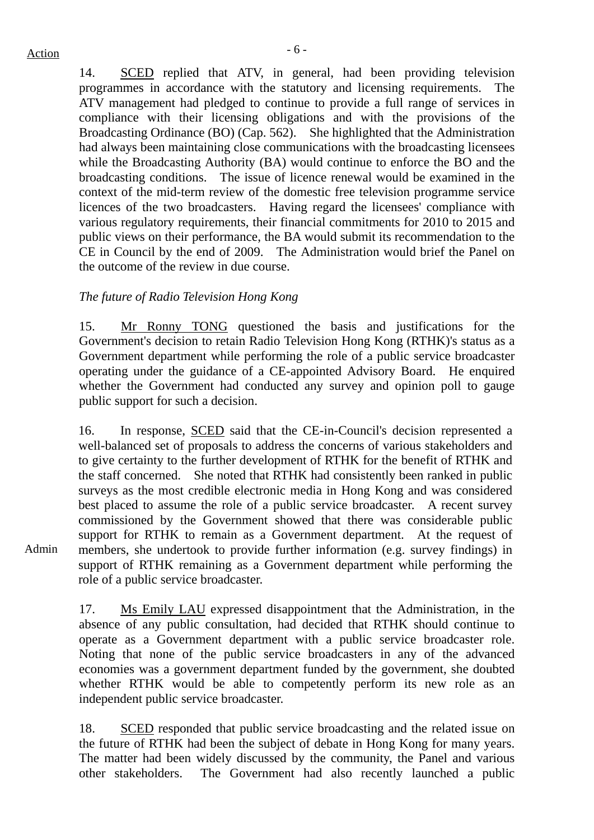14. SCED replied that ATV, in general, had been providing television programmes in accordance with the statutory and licensing requirements. The ATV management had pledged to continue to provide a full range of services in compliance with their licensing obligations and with the provisions of the Broadcasting Ordinance (BO) (Cap. 562). She highlighted that the Administration had always been maintaining close communications with the broadcasting licensees while the Broadcasting Authority (BA) would continue to enforce the BO and the broadcasting conditions. The issue of licence renewal would be examined in the context of the mid-term review of the domestic free television programme service licences of the two broadcasters. Having regard the licensees' compliance with various regulatory requirements, their financial commitments for 2010 to 2015 and public views on their performance, the BA would submit its recommendation to the CE in Council by the end of 2009. The Administration would brief the Panel on the outcome of the review in due course.

#### *The future of Radio Television Hong Kong*

15. Mr Ronny TONG questioned the basis and justifications for the Government's decision to retain Radio Television Hong Kong (RTHK)'s status as a Government department while performing the role of a public service broadcaster operating under the guidance of a CE-appointed Advisory Board. He enquired whether the Government had conducted any survey and opinion poll to gauge public support for such a decision.

16. In response, SCED said that the CE-in-Council's decision represented a well-balanced set of proposals to address the concerns of various stakeholders and to give certainty to the further development of RTHK for the benefit of RTHK and the staff concerned. She noted that RTHK had consistently been ranked in public surveys as the most credible electronic media in Hong Kong and was considered best placed to assume the role of a public service broadcaster. A recent survey commissioned by the Government showed that there was considerable public support for RTHK to remain as a Government department. At the request of members, she undertook to provide further information (e.g. survey findings) in support of RTHK remaining as a Government department while performing the role of a public service broadcaster.

17. Ms Emily LAU expressed disappointment that the Administration, in the absence of any public consultation, had decided that RTHK should continue to operate as a Government department with a public service broadcaster role. Noting that none of the public service broadcasters in any of the advanced economies was a government department funded by the government, she doubted whether RTHK would be able to competently perform its new role as an independent public service broadcaster.

18. SCED responded that public service broadcasting and the related issue on the future of RTHK had been the subject of debate in Hong Kong for many years. The matter had been widely discussed by the community, the Panel and various other stakeholders. The Government had also recently launched a public

Admin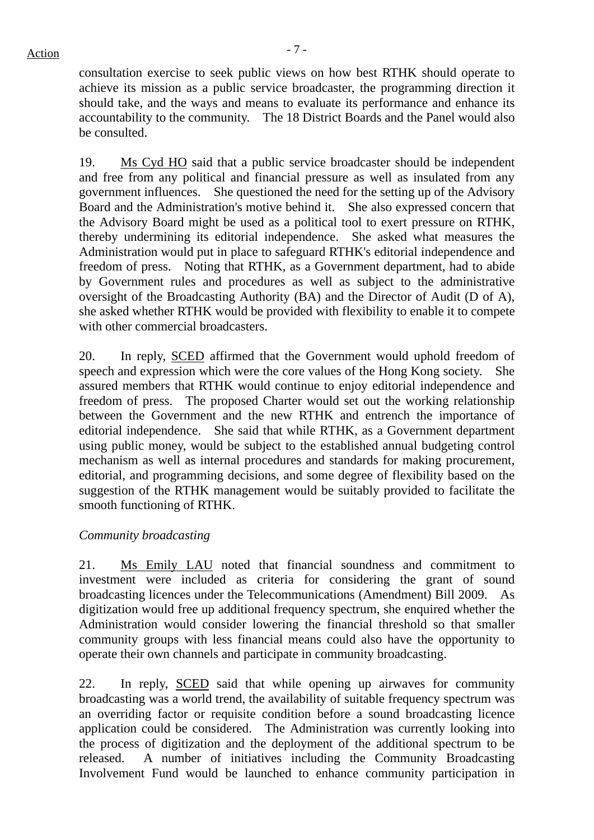consultation exercise to seek public views on how best RTHK should operate to achieve its mission as a public service broadcaster, the programming direction it should take, and the ways and means to evaluate its performance and enhance its accountability to the community. The 18 District Boards and the Panel would also be consulted.

19. Ms Cyd HO said that a public service broadcaster should be independent and free from any political and financial pressure as well as insulated from any government influences. She questioned the need for the setting up of the Advisory Board and the Administration's motive behind it. She also expressed concern that the Advisory Board might be used as a political tool to exert pressure on RTHK, thereby undermining its editorial independence. She asked what measures the Administration would put in place to safeguard RTHK's editorial independence and freedom of press. Noting that RTHK, as a Government department, had to abide by Government rules and procedures as well as subject to the administrative oversight of the Broadcasting Authority (BA) and the Director of Audit (D of A), she asked whether RTHK would be provided with flexibility to enable it to compete with other commercial broadcasters.

20. In reply, SCED affirmed that the Government would uphold freedom of speech and expression which were the core values of the Hong Kong society. She assured members that RTHK would continue to enjoy editorial independence and freedom of press. The proposed Charter would set out the working relationship between the Government and the new RTHK and entrench the importance of editorial independence. She said that while RTHK, as a Government department using public money, would be subject to the established annual budgeting control mechanism as well as internal procedures and standards for making procurement, editorial, and programming decisions, and some degree of flexibility based on the suggestion of the RTHK management would be suitably provided to facilitate the smooth functioning of RTHK.

## *Community broadcasting*

21. Ms Emily LAU noted that financial soundness and commitment to investment were included as criteria for considering the grant of sound broadcasting licences under the Telecommunications (Amendment) Bill 2009. As digitization would free up additional frequency spectrum, she enquired whether the Administration would consider lowering the financial threshold so that smaller community groups with less financial means could also have the opportunity to operate their own channels and participate in community broadcasting.

22. In reply, SCED said that while opening up airwaves for community broadcasting was a world trend, the availability of suitable frequency spectrum was an overriding factor or requisite condition before a sound broadcasting licence application could be considered. The Administration was currently looking into the process of digitization and the deployment of the additional spectrum to be released. A number of initiatives including the Community Broadcasting Involvement Fund would be launched to enhance community participation in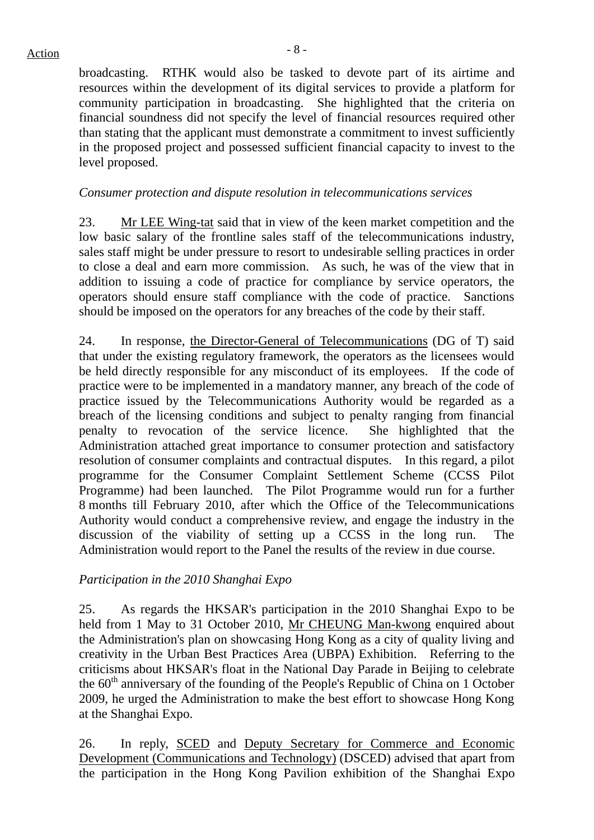# $Action$

broadcasting. RTHK would also be tasked to devote part of its airtime and resources within the development of its digital services to provide a platform for community participation in broadcasting. She highlighted that the criteria on financial soundness did not specify the level of financial resources required other than stating that the applicant must demonstrate a commitment to invest sufficiently in the proposed project and possessed sufficient financial capacity to invest to the level proposed.

## *Consumer protection and dispute resolution in telecommunications services*

23. Mr LEE Wing-tat said that in view of the keen market competition and the low basic salary of the frontline sales staff of the telecommunications industry, sales staff might be under pressure to resort to undesirable selling practices in order to close a deal and earn more commission. As such, he was of the view that in addition to issuing a code of practice for compliance by service operators, the operators should ensure staff compliance with the code of practice. Sanctions should be imposed on the operators for any breaches of the code by their staff.

24. In response, the Director-General of Telecommunications (DG of T) said that under the existing regulatory framework, the operators as the licensees would be held directly responsible for any misconduct of its employees. If the code of practice were to be implemented in a mandatory manner, any breach of the code of practice issued by the Telecommunications Authority would be regarded as a breach of the licensing conditions and subject to penalty ranging from financial penalty to revocation of the service licence. She highlighted that the Administration attached great importance to consumer protection and satisfactory resolution of consumer complaints and contractual disputes. In this regard, a pilot programme for the Consumer Complaint Settlement Scheme (CCSS Pilot Programme) had been launched. The Pilot Programme would run for a further 8 months till February 2010, after which the Office of the Telecommunications Authority would conduct a comprehensive review, and engage the industry in the discussion of the viability of setting up a CCSS in the long run. The Administration would report to the Panel the results of the review in due course.

*Participation in the 2010 Shanghai Expo* 

25. As regards the HKSAR's participation in the 2010 Shanghai Expo to be held from 1 May to 31 October 2010, Mr CHEUNG Man-kwong enquired about the Administration's plan on showcasing Hong Kong as a city of quality living and creativity in the Urban Best Practices Area (UBPA) Exhibition. Referring to the criticisms about HKSAR's float in the National Day Parade in Beijing to celebrate the 60<sup>th</sup> anniversary of the founding of the People's Republic of China on 1 October 2009, he urged the Administration to make the best effort to showcase Hong Kong at the Shanghai Expo.

26. In reply, SCED and Deputy Secretary for Commerce and Economic Development (Communications and Technology) (DSCED) advised that apart from the participation in the Hong Kong Pavilion exhibition of the Shanghai Expo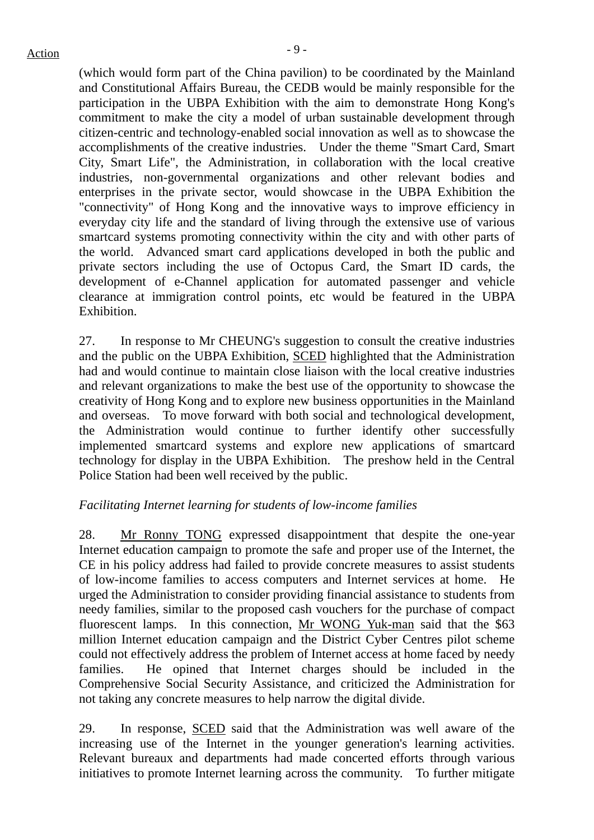(which would form part of the China pavilion) to be coordinated by the Mainland and Constitutional Affairs Bureau, the CEDB would be mainly responsible for the participation in the UBPA Exhibition with the aim to demonstrate Hong Kong's commitment to make the city a model of urban sustainable development through citizen-centric and technology-enabled social innovation as well as to showcase the accomplishments of the creative industries. Under the theme "Smart Card, Smart City, Smart Life", the Administration, in collaboration with the local creative industries, non-governmental organizations and other relevant bodies and enterprises in the private sector, would showcase in the UBPA Exhibition the "connectivity" of Hong Kong and the innovative ways to improve efficiency in everyday city life and the standard of living through the extensive use of various smartcard systems promoting connectivity within the city and with other parts of the world. Advanced smart card applications developed in both the public and private sectors including the use of Octopus Card, the Smart ID cards, the development of e-Channel application for automated passenger and vehicle clearance at immigration control points, etc would be featured in the UBPA Exhibition.

27. In response to Mr CHEUNG's suggestion to consult the creative industries and the public on the UBPA Exhibition, SCED highlighted that the Administration had and would continue to maintain close liaison with the local creative industries and relevant organizations to make the best use of the opportunity to showcase the creativity of Hong Kong and to explore new business opportunities in the Mainland and overseas. To move forward with both social and technological development, the Administration would continue to further identify other successfully implemented smartcard systems and explore new applications of smartcard technology for display in the UBPA Exhibition. The preshow held in the Central Police Station had been well received by the public.

## *Facilitating Internet learning for students of low-income families*

28. Mr Ronny TONG expressed disappointment that despite the one-year Internet education campaign to promote the safe and proper use of the Internet, the CE in his policy address had failed to provide concrete measures to assist students of low-income families to access computers and Internet services at home. He urged the Administration to consider providing financial assistance to students from needy families, similar to the proposed cash vouchers for the purchase of compact fluorescent lamps. In this connection, Mr WONG Yuk-man said that the \$63 million Internet education campaign and the District Cyber Centres pilot scheme could not effectively address the problem of Internet access at home faced by needy families. He opined that Internet charges should be included in the Comprehensive Social Security Assistance, and criticized the Administration for not taking any concrete measures to help narrow the digital divide.

29. In response, SCED said that the Administration was well aware of the increasing use of the Internet in the younger generation's learning activities. Relevant bureaux and departments had made concerted efforts through various initiatives to promote Internet learning across the community. To further mitigate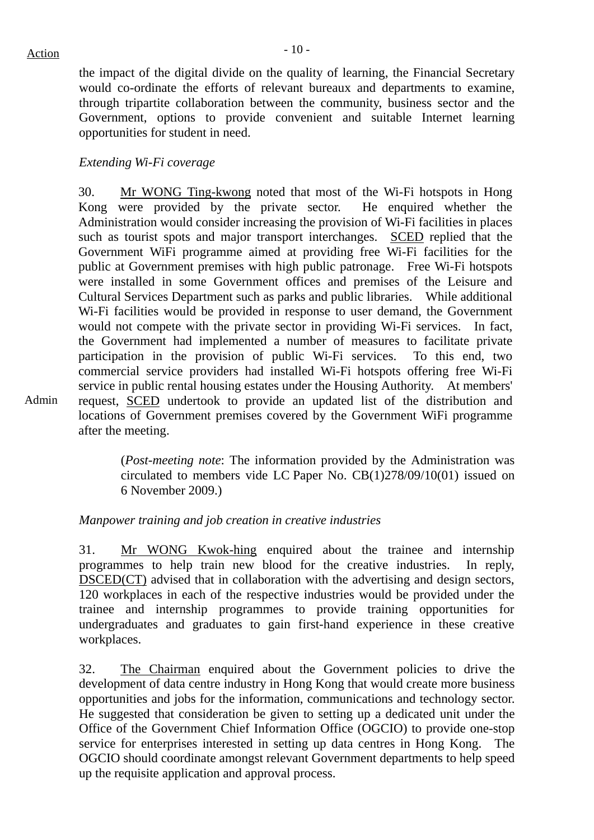Admin

the impact of the digital divide on the quality of learning, the Financial Secretary would co-ordinate the efforts of relevant bureaux and departments to examine, through tripartite collaboration between the community, business sector and the Government, options to provide convenient and suitable Internet learning opportunities for student in need.

#### *Extending Wi-Fi coverage*

30. Mr WONG Ting-kwong noted that most of the Wi-Fi hotspots in Hong Kong were provided by the private sector. He enquired whether the Administration would consider increasing the provision of Wi-Fi facilities in places such as tourist spots and major transport interchanges. SCED replied that the Government WiFi programme aimed at providing free Wi-Fi facilities for the public at Government premises with high public patronage. Free Wi-Fi hotspots were installed in some Government offices and premises of the Leisure and Cultural Services Department such as parks and public libraries. While additional Wi-Fi facilities would be provided in response to user demand, the Government would not compete with the private sector in providing Wi-Fi services. In fact, the Government had implemented a number of measures to facilitate private participation in the provision of public Wi-Fi services. To this end, two commercial service providers had installed Wi-Fi hotspots offering free Wi-Fi service in public rental housing estates under the Housing Authority. At members' request, SCED undertook to provide an updated list of the distribution and locations of Government premises covered by the Government WiFi programme after the meeting.

(*Post-meeting note*: The information provided by the Administration was circulated to members vide LC Paper No. CB(1)278/09/10(01) issued on 6 November 2009.)

#### *Manpower training and job creation in creative industries*

31. Mr WONG Kwok-hing enquired about the trainee and internship programmes to help train new blood for the creative industries. In reply, DSCED(CT) advised that in collaboration with the advertising and design sectors, 120 workplaces in each of the respective industries would be provided under the trainee and internship programmes to provide training opportunities for undergraduates and graduates to gain first-hand experience in these creative workplaces.

32. The Chairman enquired about the Government policies to drive the development of data centre industry in Hong Kong that would create more business opportunities and jobs for the information, communications and technology sector. He suggested that consideration be given to setting up a dedicated unit under the Office of the Government Chief Information Office (OGCIO) to provide one-stop service for enterprises interested in setting up data centres in Hong Kong. The OGCIO should coordinate amongst relevant Government departments to help speed up the requisite application and approval process.